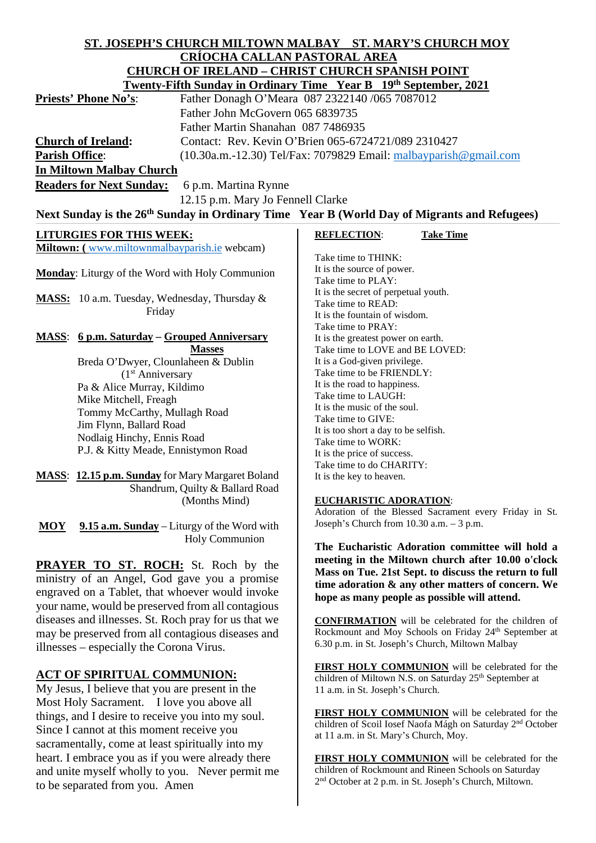#### **ST. JOSEPH'S CHURCH MILTOWN MALBAY ST. MARY'S CHURCH MOY CRÍOCHA CALLAN PASTORAL AREA CHURCH OF IRELAND – CHRIST CHURCH SPANISH POINT The Sunday in Ordinary Time**

|                                                     | Twenty-Filth Sunday in Ordinary Thile Fear D 19 <sup>th</sup> September, 2021 |
|-----------------------------------------------------|-------------------------------------------------------------------------------|
| <b>Priests' Phone No's:</b>                         | Father Donagh O'Meara 087 2322140 /065 7087012                                |
|                                                     | Father John McGovern 065 6839735                                              |
|                                                     | Father Martin Shanahan 087 7486935                                            |
| <b>Church of Ireland:</b>                           | Contact: Rev. Kevin O'Brien 065-6724721/089 2310427                           |
| <b>Parish Office:</b>                               | $(10.30a.m.-12.30)$ Tel/Fax: 7079829 Email: malbayparish @gmail.com           |
| <b>In Miltown Malbay Church</b>                     |                                                                               |
| <b>Dondors for Novt Sunday.</b> 6 n m Morting Dynne |                                                                               |

**Readers for Next Sunday:** 6 p.m. Martina Rynne

#### 12.15 p.m. Mary Jo Fennell Clarke Next Sunday is the 26<sup>th</sup> Sunday in Ordinary Time Year B (World Day of Migrants and Refugees)

| <b>LITURGIES FOR THIS WEEK:</b>                                                                                                                                                                    | <b>REFLECTION:</b><br><b>Take Time</b>                                                                                                                     |
|----------------------------------------------------------------------------------------------------------------------------------------------------------------------------------------------------|------------------------------------------------------------------------------------------------------------------------------------------------------------|
| Miltown: (www.miltownmalbayparish.ie webcam)                                                                                                                                                       | Take time to THINK:<br>It is the source of power.                                                                                                          |
| Monday: Liturgy of the Word with Holy Communion                                                                                                                                                    | Take time to PLAY:                                                                                                                                         |
| MASS: 10 a.m. Tuesday, Wednesday, Thursday &<br>Friday                                                                                                                                             | It is the secret of perpetual youth.<br>Take time to READ:<br>It is the fountain of wisdom.<br>Take time to PRAY:                                          |
| <b>MASS:</b> 6 p.m. Saturday – Grouped Anniversary                                                                                                                                                 | It is the greatest power on earth.                                                                                                                         |
| <b>Masses</b>                                                                                                                                                                                      | Take time to LOVE and BE LOVED:                                                                                                                            |
| Breda O'Dwyer, Clounlaheen & Dublin                                                                                                                                                                | It is a God-given privilege.                                                                                                                               |
| (1 <sup>st</sup> Anniversary)                                                                                                                                                                      | Take time to be FRIENDLY:                                                                                                                                  |
| Pa & Alice Murray, Kildimo                                                                                                                                                                         | It is the road to happiness.                                                                                                                               |
| Mike Mitchell, Freagh                                                                                                                                                                              | Take time to LAUGH:<br>It is the music of the soul.                                                                                                        |
| Tommy McCarthy, Mullagh Road                                                                                                                                                                       | Take time to GIVE:                                                                                                                                         |
| Jim Flynn, Ballard Road                                                                                                                                                                            | It is too short a day to be selfish.                                                                                                                       |
| Nodlaig Hinchy, Ennis Road                                                                                                                                                                         | Take time to WORK:                                                                                                                                         |
| P.J. & Kitty Meade, Ennistymon Road                                                                                                                                                                | It is the price of success.                                                                                                                                |
|                                                                                                                                                                                                    | Take time to do CHARITY:                                                                                                                                   |
| <b>MASS:</b> 12.15 p.m. Sunday for Mary Margaret Boland                                                                                                                                            | It is the key to heaven.                                                                                                                                   |
| Shandrum, Quilty & Ballard Road                                                                                                                                                                    |                                                                                                                                                            |
| (Months Mind)                                                                                                                                                                                      | <b>EUCHARISTIC ADORATION:</b>                                                                                                                              |
|                                                                                                                                                                                                    | Adoration of the Blessed Sacrament every Friday in St.                                                                                                     |
| 9.15 a.m. Sunday – Liturgy of the Word with<br><b>MOY</b>                                                                                                                                          | Joseph's Church from 10.30 a.m. - 3 p.m.                                                                                                                   |
| <b>Holy Communion</b>                                                                                                                                                                              | The Eucharistic Adoration committee will hold a                                                                                                            |
|                                                                                                                                                                                                    | meeting in the Miltown church after 10.00 o'clock                                                                                                          |
| <b>PRAYER TO ST. ROCH:</b> St. Roch by the<br>ministry of an Angel, God gave you a promise<br>engraved on a Tablet, that whoever would invoke<br>your name, would be preserved from all contagious | Mass on Tue. 21st Sept. to discuss the return to full<br>time adoration & any other matters of concern. We<br>hope as many people as possible will attend. |
| diseases and illnesses. St. Roch pray for us that we                                                                                                                                               | <b>CONFIRMATION</b> will be celebrated for the children of                                                                                                 |
| may be preserved from all contagious diseases and                                                                                                                                                  | Rockmount and Moy Schools on Friday 24 <sup>th</sup> September at                                                                                          |
| illnesses – especially the Corona Virus.                                                                                                                                                           | 6.30 p.m. in St. Joseph's Church, Miltown Malbay                                                                                                           |
| <b>ACT OF SPIRITUAL COMMUNION:</b>                                                                                                                                                                 | FIRST HOLY COMMUNION will be celebrated for the<br>children of Miltown N.S. on Saturday 25 <sup>th</sup> September at                                      |
| My Jesus, I believe that you are present in the                                                                                                                                                    | 11 a.m. in St. Joseph's Church.                                                                                                                            |
| Most Holy Sacrament. I love you above all                                                                                                                                                          |                                                                                                                                                            |

things, and I desire to receive you into my soul. Since I cannot at this moment receive you sacramentally, come at least spiritually into my heart. I embrace you as if you were already there and unite myself wholly to you. Never permit me

to be separated from you. Amen

**FIRST HOLY COMMUNION** will be celebrated for the children of Scoil Iosef Naofa Mágh on Saturday 2nd October at 11 a.m. in St. Mary's Church, Moy.

**FIRST HOLY COMMUNION** will be celebrated for the children of Rockmount and Rineen Schools on Saturday 2nd October at 2 p.m. in St. Joseph's Church, Miltown.